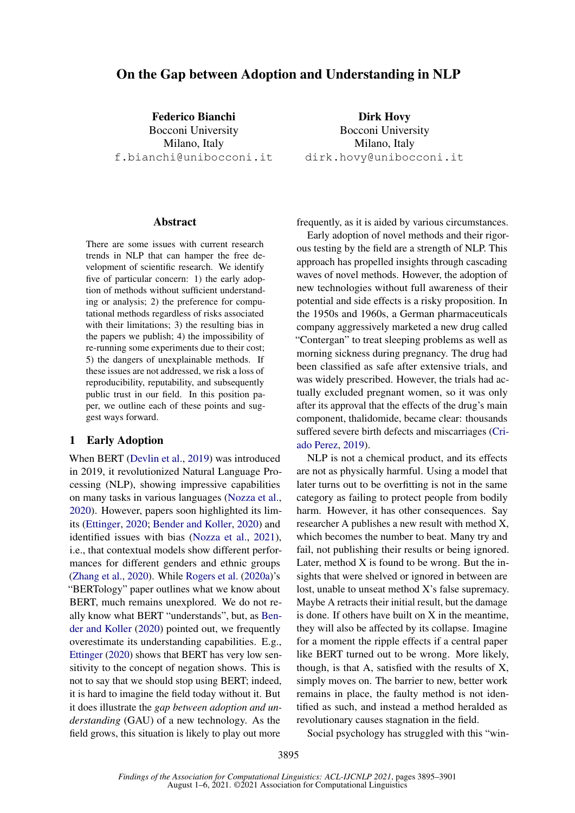# On the Gap between Adoption and Understanding in NLP

Federico Bianchi Bocconi University Milano, Italy f.bianchi@unibocconi.it

#### **Abstract**

There are some issues with current research trends in NLP that can hamper the free development of scientific research. We identify five of particular concern: 1) the early adoption of methods without sufficient understanding or analysis; 2) the preference for computational methods regardless of risks associated with their limitations; 3) the resulting bias in the papers we publish; 4) the impossibility of re-running some experiments due to their cost; 5) the dangers of unexplainable methods. If these issues are not addressed, we risk a loss of reproducibility, reputability, and subsequently public trust in our field. In this position paper, we outline each of these points and suggest ways forward.

# 1 Early Adoption

When BERT [\(Devlin et al.,](#page-5-0) [2019\)](#page-5-0) was introduced in 2019, it revolutionized Natural Language Processing (NLP), showing impressive capabilities on many tasks in various languages [\(Nozza et al.,](#page-6-0) [2020\)](#page-6-0). However, papers soon highlighted its limits [\(Ettinger,](#page-5-1) [2020;](#page-5-1) [Bender and Koller,](#page-4-0) [2020\)](#page-4-0) and identified issues with bias [\(Nozza et al.,](#page-6-1) [2021\)](#page-6-1), i.e., that contextual models show different performances for different genders and ethnic groups [\(Zhang et al.,](#page-6-2) [2020\)](#page-6-2). While [Rogers et al.](#page-6-3) [\(2020a\)](#page-6-3)'s "BERTology" paper outlines what we know about BERT, much remains unexplored. We do not really know what BERT "understands", but, as [Ben](#page-4-0)[der and Koller](#page-4-0) [\(2020\)](#page-4-0) pointed out, we frequently overestimate its understanding capabilities. E.g., [Ettinger](#page-5-1) [\(2020\)](#page-5-1) shows that BERT has very low sensitivity to the concept of negation shows. This is not to say that we should stop using BERT; indeed, it is hard to imagine the field today without it. But it does illustrate the *gap between adoption and understanding* (GAU) of a new technology. As the field grows, this situation is likely to play out more

Dirk Hovy Bocconi University Milano, Italy dirk.hovy@unibocconi.it

frequently, as it is aided by various circumstances.

Early adoption of novel methods and their rigorous testing by the field are a strength of NLP. This approach has propelled insights through cascading waves of novel methods. However, the adoption of new technologies without full awareness of their potential and side effects is a risky proposition. In the 1950s and 1960s, a German pharmaceuticals company aggressively marketed a new drug called "Contergan" to treat sleeping problems as well as morning sickness during pregnancy. The drug had been classified as safe after extensive trials, and was widely prescribed. However, the trials had actually excluded pregnant women, so it was only after its approval that the effects of the drug's main component, thalidomide, became clear: thousands suffered severe birth defects and miscarriages [\(Cri](#page-5-2)[ado Perez,](#page-5-2) [2019\)](#page-5-2).

NLP is not a chemical product, and its effects are not as physically harmful. Using a model that later turns out to be overfitting is not in the same category as failing to protect people from bodily harm. However, it has other consequences. Say researcher A publishes a new result with method X, which becomes the number to beat. Many try and fail, not publishing their results or being ignored. Later, method X is found to be wrong. But the insights that were shelved or ignored in between are lost, unable to unseat method X's false supremacy. Maybe A retracts their initial result, but the damage is done. If others have built on X in the meantime, they will also be affected by its collapse. Imagine for a moment the ripple effects if a central paper like BERT turned out to be wrong. More likely, though, is that A, satisfied with the results of X, simply moves on. The barrier to new, better work remains in place, the faulty method is not identified as such, and instead a method heralded as revolutionary causes stagnation in the field.

Social psychology has struggled with this "win-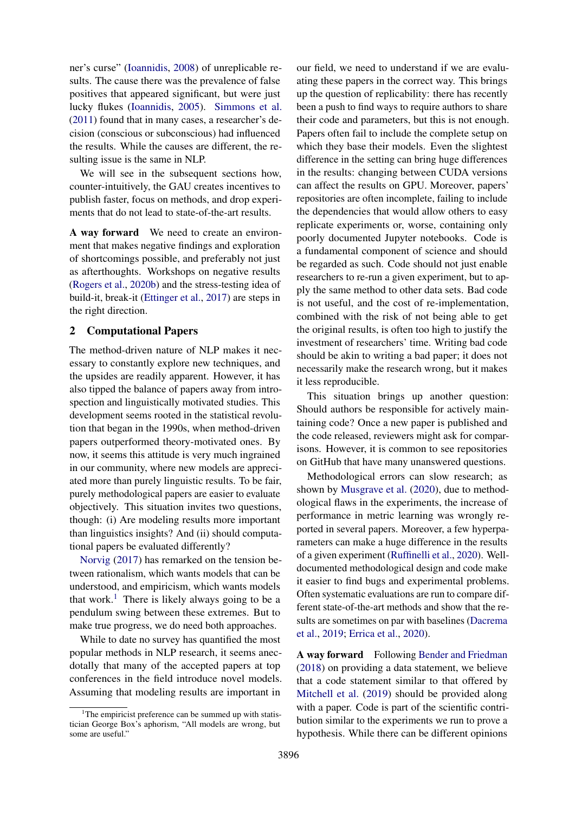ner's curse" [\(Ioannidis,](#page-5-3) [2008\)](#page-5-3) of unreplicable results. The cause there was the prevalence of false positives that appeared significant, but were just lucky flukes [\(Ioannidis,](#page-5-4) [2005\)](#page-5-4). [Simmons et al.](#page-6-4) [\(2011\)](#page-6-4) found that in many cases, a researcher's decision (conscious or subconscious) had influenced the results. While the causes are different, the resulting issue is the same in NLP.

We will see in the subsequent sections how, counter-intuitively, the GAU creates incentives to publish faster, focus on methods, and drop experiments that do not lead to state-of-the-art results.

A way forward We need to create an environment that makes negative findings and exploration of shortcomings possible, and preferably not just as afterthoughts. Workshops on negative results [\(Rogers et al.,](#page-6-5) [2020b\)](#page-6-5) and the stress-testing idea of build-it, break-it [\(Ettinger et al.,](#page-5-5) [2017\)](#page-5-5) are steps in the right direction.

#### 2 Computational Papers

The method-driven nature of NLP makes it necessary to constantly explore new techniques, and the upsides are readily apparent. However, it has also tipped the balance of papers away from introspection and linguistically motivated studies. This development seems rooted in the statistical revolution that began in the 1990s, when method-driven papers outperformed theory-motivated ones. By now, it seems this attitude is very much ingrained in our community, where new models are appreciated more than purely linguistic results. To be fair, purely methodological papers are easier to evaluate objectively. This situation invites two questions, though: (i) Are modeling results more important than linguistics insights? And (ii) should computational papers be evaluated differently?

[Norvig](#page-6-6) [\(2017\)](#page-6-6) has remarked on the tension between rationalism, which wants models that can be understood, and empiricism, which wants models that work.<sup>[1](#page-1-0)</sup> There is likely always going to be a pendulum swing between these extremes. But to make true progress, we do need both approaches.

While to date no survey has quantified the most popular methods in NLP research, it seems anecdotally that many of the accepted papers at top conferences in the field introduce novel models. Assuming that modeling results are important in

our field, we need to understand if we are evaluating these papers in the correct way. This brings up the question of replicability: there has recently been a push to find ways to require authors to share their code and parameters, but this is not enough. Papers often fail to include the complete setup on which they base their models. Even the slightest difference in the setting can bring huge differences in the results: changing between CUDA versions can affect the results on GPU. Moreover, papers' repositories are often incomplete, failing to include the dependencies that would allow others to easy replicate experiments or, worse, containing only poorly documented Jupyter notebooks. Code is a fundamental component of science and should be regarded as such. Code should not just enable researchers to re-run a given experiment, but to apply the same method to other data sets. Bad code is not useful, and the cost of re-implementation, combined with the risk of not being able to get the original results, is often too high to justify the investment of researchers' time. Writing bad code should be akin to writing a bad paper; it does not necessarily make the research wrong, but it makes it less reproducible.

This situation brings up another question: Should authors be responsible for actively maintaining code? Once a new paper is published and the code released, reviewers might ask for comparisons. However, it is common to see repositories on GitHub that have many unanswered questions.

Methodological errors can slow research; as shown by [Musgrave et al.](#page-6-7) [\(2020\)](#page-6-7), due to methodological flaws in the experiments, the increase of performance in metric learning was wrongly reported in several papers. Moreover, a few hyperparameters can make a huge difference in the results of a given experiment [\(Ruffinelli et al.,](#page-6-8) [2020\)](#page-6-8). Welldocumented methodological design and code make it easier to find bugs and experimental problems. Often systematic evaluations are run to compare different state-of-the-art methods and show that the results are sometimes on par with baselines [\(Dacrema](#page-5-6) [et al.,](#page-5-6) [2019;](#page-5-6) [Errica et al.,](#page-5-7) [2020\)](#page-5-7).

A way forward Following [Bender and Friedman](#page-4-1) [\(2018\)](#page-4-1) on providing a data statement, we believe that a code statement similar to that offered by [Mitchell et al.](#page-6-9) [\(2019\)](#page-6-9) should be provided along with a paper. Code is part of the scientific contribution similar to the experiments we run to prove a hypothesis. While there can be different opinions

<span id="page-1-0"></span> $1$ The empiricist preference can be summed up with statistician George Box's aphorism, "All models are wrong, but some are useful."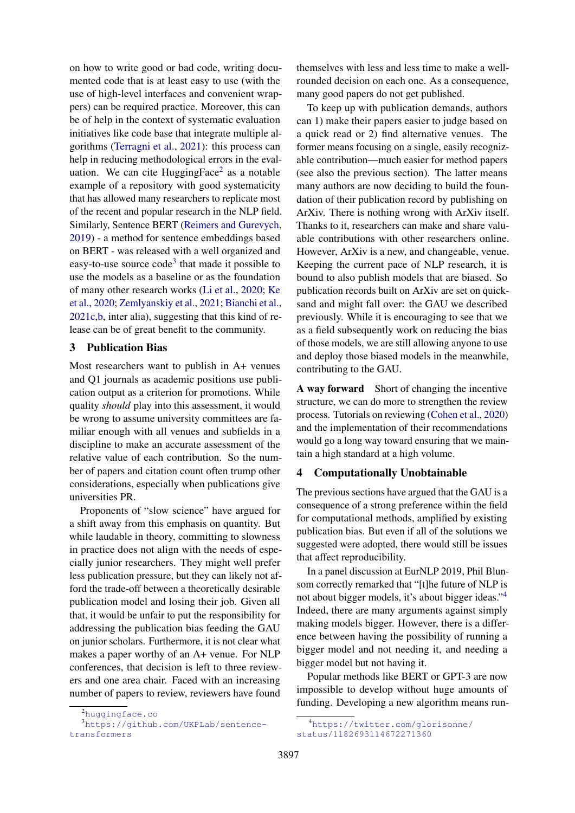on how to write good or bad code, writing documented code that is at least easy to use (with the use of high-level interfaces and convenient wrappers) can be required practice. Moreover, this can be of help in the context of systematic evaluation initiatives like code base that integrate multiple algorithms [\(Terragni et al.,](#page-6-10) [2021\)](#page-6-10): this process can help in reducing methodological errors in the eval-uation. We can cite HuggingFace<sup>[2](#page-2-0)</sup> as a notable example of a repository with good systematicity that has allowed many researchers to replicate most of the recent and popular research in the NLP field. Similarly, Sentence BERT [\(Reimers and Gurevych,](#page-6-11) [2019\)](#page-6-11) - a method for sentence embeddings based on BERT - was released with a well organized and easy-to-use source code<sup>[3](#page-2-1)</sup> that made it possible to use the models as a baseline or as the foundation of many other research works [\(Li et al.,](#page-5-8) [2020;](#page-5-8) [Ke](#page-5-9) [et al.,](#page-5-9) [2020;](#page-5-9) [Zemlyanskiy et al.,](#page-6-12) [2021;](#page-6-12) [Bianchi et al.,](#page-4-2) [2021c,](#page-4-2)[b,](#page-4-3) inter alia), suggesting that this kind of release can be of great benefit to the community.

### 3 Publication Bias

Most researchers want to publish in A+ venues and Q1 journals as academic positions use publication output as a criterion for promotions. While quality *should* play into this assessment, it would be wrong to assume university committees are familiar enough with all venues and subfields in a discipline to make an accurate assessment of the relative value of each contribution. So the number of papers and citation count often trump other considerations, especially when publications give universities PR.

Proponents of "slow science" have argued for a shift away from this emphasis on quantity. But while laudable in theory, committing to slowness in practice does not align with the needs of especially junior researchers. They might well prefer less publication pressure, but they can likely not afford the trade-off between a theoretically desirable publication model and losing their job. Given all that, it would be unfair to put the responsibility for addressing the publication bias feeding the GAU on junior scholars. Furthermore, it is not clear what makes a paper worthy of an A+ venue. For NLP conferences, that decision is left to three reviewers and one area chair. Faced with an increasing number of papers to review, reviewers have found

themselves with less and less time to make a wellrounded decision on each one. As a consequence, many good papers do not get published.

To keep up with publication demands, authors can 1) make their papers easier to judge based on a quick read or 2) find alternative venues. The former means focusing on a single, easily recognizable contribution—much easier for method papers (see also the previous section). The latter means many authors are now deciding to build the foundation of their publication record by publishing on ArXiv. There is nothing wrong with ArXiv itself. Thanks to it, researchers can make and share valuable contributions with other researchers online. However, ArXiv is a new, and changeable, venue. Keeping the current pace of NLP research, it is bound to also publish models that are biased. So publication records built on ArXiv are set on quicksand and might fall over: the GAU we described previously. While it is encouraging to see that we as a field subsequently work on reducing the bias of those models, we are still allowing anyone to use and deploy those biased models in the meanwhile, contributing to the GAU.

A way forward Short of changing the incentive structure, we can do more to strengthen the review process. Tutorials on reviewing [\(Cohen et al.,](#page-5-10) [2020\)](#page-5-10) and the implementation of their recommendations would go a long way toward ensuring that we maintain a high standard at a high volume.

### <span id="page-2-3"></span>4 Computationally Unobtainable

The previous sections have argued that the GAU is a consequence of a strong preference within the field for computational methods, amplified by existing publication bias. But even if all of the solutions we suggested were adopted, there would still be issues that affect reproducibility.

In a panel discussion at EurNLP 2019, Phil Blunsom correctly remarked that "[t]he future of NLP is not about bigger models, it's about bigger ideas."[4](#page-2-2) Indeed, there are many arguments against simply making models bigger. However, there is a difference between having the possibility of running a bigger model and not needing it, and needing a bigger model but not having it.

Popular methods like BERT or GPT-3 are now impossible to develop without huge amounts of funding. Developing a new algorithm means run-

<span id="page-2-1"></span><span id="page-2-0"></span><sup>2</sup><huggingface.co>

<sup>3</sup>[https://github.com/UKPLab/sentence](https://github.com/UKPLab/sentence-transformers)[transformers](https://github.com/UKPLab/sentence-transformers)

<span id="page-2-2"></span><sup>4</sup>[https://twitter.com/glorisonne/](https://twitter.com/glorisonne/status/1182693114672271360) [status/1182693114672271360](https://twitter.com/glorisonne/status/1182693114672271360)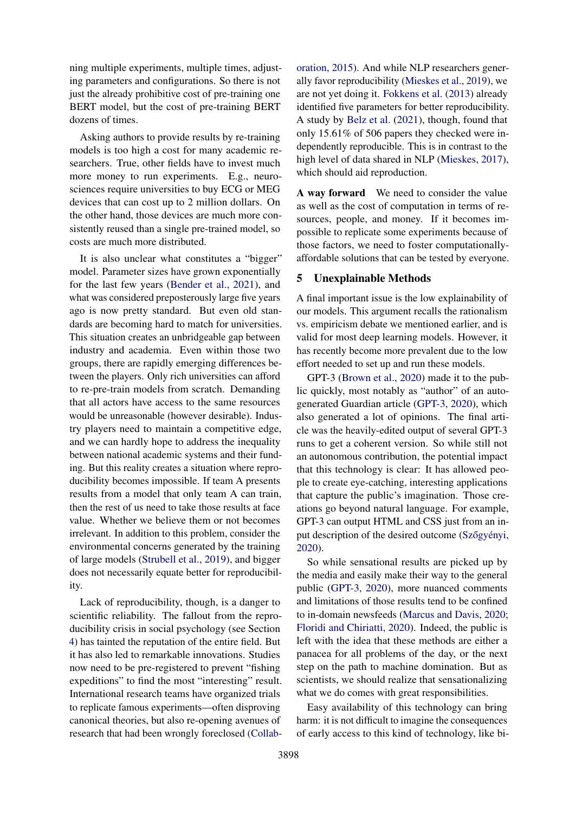ning multiple experiments, multiple times, adjusting parameters and configurations. So there is not just the already prohibitive cost of pre-training one BERT model, but the cost of pre-training BERT dozens of times.

Asking authors to provide results by re-training models is too high a cost for many academic researchers. True, other fields have to invest much more money to run experiments. E.g., neurosciences require universities to buy ECG or MEG devices that can cost up to 2 million dollars. On the other hand, those devices are much more consistently reused than a single pre-trained model, so costs are much more distributed.

It is also unclear what constitutes a "bigger" model. Parameter sizes have grown exponentially for the last few years [\(Bender et al.,](#page-4-4) [2021\)](#page-4-4), and what was considered preposterously large five years ago is now pretty standard. But even old standards are becoming hard to match for universities. This situation creates an unbridgeable gap between industry and academia. Even within those two groups, there are rapidly emerging differences between the players. Only rich universities can afford to re-pre-train models from scratch. Demanding that all actors have access to the same resources would be unreasonable (however desirable). Industry players need to maintain a competitive edge, and we can hardly hope to address the inequality between national academic systems and their funding. But this reality creates a situation where reproducibility becomes impossible. If team A presents results from a model that only team A can train, then the rest of us need to take those results at face value. Whether we believe them or not becomes irrelevant. In addition to this problem, consider the environmental concerns generated by the training of large models [\(Strubell et al.,](#page-6-13) [2019\)](#page-6-13), and bigger does not necessarily equate better for reproducibility.

Lack of reproducibility, though, is a danger to scientific reliability. The fallout from the reproducibility crisis in social psychology (see Section [4\)](#page-2-3) has tainted the reputation of the entire field. But it has also led to remarkable innovations. Studies now need to be pre-registered to prevent "fishing expeditions" to find the most "interesting" result. International research teams have organized trials to replicate famous experiments—often disproving canonical theories, but also re-opening avenues of research that had been wrongly foreclosed [\(Collab-](#page-5-11)

[oration,](#page-5-11) [2015\)](#page-5-11). And while NLP researchers generally favor reproducibility [\(Mieskes et al.,](#page-6-14) [2019\)](#page-6-14), we are not yet doing it. [Fokkens et al.](#page-5-12) [\(2013\)](#page-5-12) already identified five parameters for better reproducibility. A study by [Belz et al.](#page-4-5) [\(2021\)](#page-4-5), though, found that only 15.61% of 506 papers they checked were independently reproducible. This is in contrast to the high level of data shared in NLP [\(Mieskes,](#page-6-15) [2017\)](#page-6-15), which should aid reproduction.

A way forward We need to consider the value as well as the cost of computation in terms of resources, people, and money. If it becomes impossible to replicate some experiments because of those factors, we need to foster computationallyaffordable solutions that can be tested by everyone.

#### 5 Unexplainable Methods

A final important issue is the low explainability of our models. This argument recalls the rationalism vs. empiricism debate we mentioned earlier, and is valid for most deep learning models. However, it has recently become more prevalent due to the low effort needed to set up and run these models.

GPT-3 [\(Brown et al.,](#page-5-13) [2020\)](#page-5-13) made it to the public quickly, most notably as "author" of an autogenerated Guardian article [\(GPT-3,](#page-5-14) [2020\)](#page-5-14), which also generated a lot of opinions. The final article was the heavily-edited output of several GPT-3 runs to get a coherent version. So while still not an autonomous contribution, the potential impact that this technology is clear: It has allowed people to create eye-catching, interesting applications that capture the public's imagination. Those creations go beyond natural language. For example, GPT-3 can output HTML and CSS just from an input description of the desired outcome (Szőgyényi, [2020\)](#page-6-16).

So while sensational results are picked up by the media and easily make their way to the general public [\(GPT-3,](#page-5-14) [2020\)](#page-5-14), more nuanced comments and limitations of those results tend to be confined to in-domain newsfeeds [\(Marcus and Davis,](#page-5-15) [2020;](#page-5-15) [Floridi and Chiriatti,](#page-5-16) [2020\)](#page-5-16). Indeed, the public is left with the idea that these methods are either a panacea for all problems of the day, or the next step on the path to machine domination. But as scientists, we should realize that sensationalizing what we do comes with great responsibilities.

Easy availability of this technology can bring harm: it is not difficult to imagine the consequences of early access to this kind of technology, like bi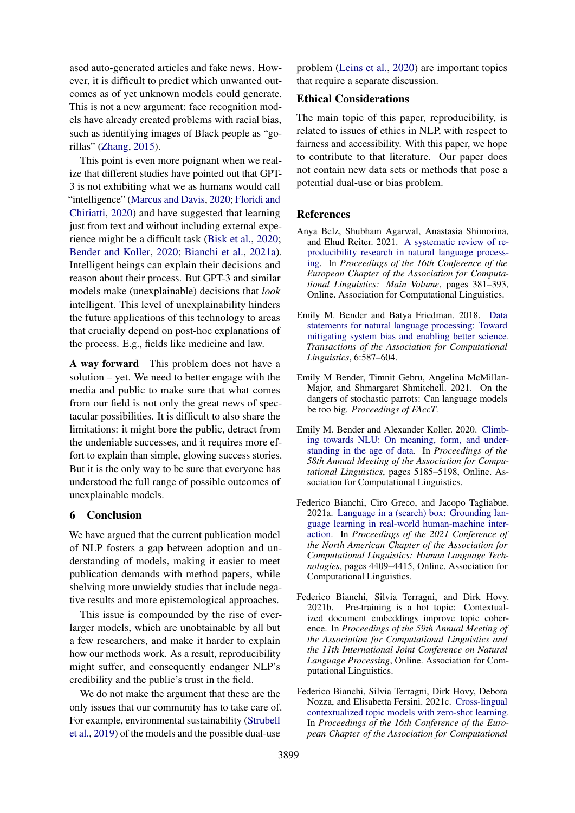ased auto-generated articles and fake news. However, it is difficult to predict which unwanted outcomes as of yet unknown models could generate. This is not a new argument: face recognition models have already created problems with racial bias, such as identifying images of Black people as "gorillas" [\(Zhang,](#page-6-17) [2015\)](#page-6-17).

This point is even more poignant when we realize that different studies have pointed out that GPT-3 is not exhibiting what we as humans would call "intelligence" [\(Marcus and Davis,](#page-5-15) [2020;](#page-5-15) [Floridi and](#page-5-16) [Chiriatti,](#page-5-16) [2020\)](#page-5-16) and have suggested that learning just from text and without including external experience might be a difficult task [\(Bisk et al.,](#page-5-17) [2020;](#page-5-17) [Bender and Koller,](#page-4-0) [2020;](#page-4-0) [Bianchi et al.,](#page-4-6) [2021a\)](#page-4-6). Intelligent beings can explain their decisions and reason about their process. But GPT-3 and similar models make (unexplainable) decisions that *look* intelligent. This level of unexplainability hinders the future applications of this technology to areas that crucially depend on post-hoc explanations of the process. E.g., fields like medicine and law.

A way forward This problem does not have a solution – yet. We need to better engage with the media and public to make sure that what comes from our field is not only the great news of spectacular possibilities. It is difficult to also share the limitations: it might bore the public, detract from the undeniable successes, and it requires more effort to explain than simple, glowing success stories. But it is the only way to be sure that everyone has understood the full range of possible outcomes of unexplainable models.

# 6 Conclusion

We have argued that the current publication model of NLP fosters a gap between adoption and understanding of models, making it easier to meet publication demands with method papers, while shelving more unwieldy studies that include negative results and more epistemological approaches.

This issue is compounded by the rise of everlarger models, which are unobtainable by all but a few researchers, and make it harder to explain how our methods work. As a result, reproducibility might suffer, and consequently endanger NLP's credibility and the public's trust in the field.

We do not make the argument that these are the only issues that our community has to take care of. For example, environmental sustainability [\(Strubell](#page-6-13) [et al.,](#page-6-13) [2019\)](#page-6-13) of the models and the possible dual-use

problem [\(Leins et al.,](#page-5-18) [2020\)](#page-5-18) are important topics that require a separate discussion.

#### Ethical Considerations

The main topic of this paper, reproducibility, is related to issues of ethics in NLP, with respect to fairness and accessibility. With this paper, we hope to contribute to that literature. Our paper does not contain new data sets or methods that pose a potential dual-use or bias problem.

# **References**

- <span id="page-4-5"></span>Anya Belz, Shubham Agarwal, Anastasia Shimorina, and Ehud Reiter. 2021. [A systematic review of re](https://www.aclweb.org/anthology/2021.eacl-main.29)[producibility research in natural language process](https://www.aclweb.org/anthology/2021.eacl-main.29)[ing.](https://www.aclweb.org/anthology/2021.eacl-main.29) In *Proceedings of the 16th Conference of the European Chapter of the Association for Computational Linguistics: Main Volume*, pages 381–393, Online. Association for Computational Linguistics.
- <span id="page-4-1"></span>Emily M. Bender and Batya Friedman. 2018. [Data](https://doi.org/10.1162/tacl_a_00041) [statements for natural language processing: Toward](https://doi.org/10.1162/tacl_a_00041) [mitigating system bias and enabling better science.](https://doi.org/10.1162/tacl_a_00041) *Transactions of the Association for Computational Linguistics*, 6:587–604.
- <span id="page-4-4"></span>Emily M Bender, Timnit Gebru, Angelina McMillan-Major, and Shmargaret Shmitchell. 2021. On the dangers of stochastic parrots: Can language models be too big. *Proceedings of FAccT*.
- <span id="page-4-0"></span>Emily M. Bender and Alexander Koller. 2020. [Climb](https://doi.org/10.18653/v1/2020.acl-main.463)[ing towards NLU: On meaning, form, and under](https://doi.org/10.18653/v1/2020.acl-main.463)[standing in the age of data.](https://doi.org/10.18653/v1/2020.acl-main.463) In *Proceedings of the 58th Annual Meeting of the Association for Computational Linguistics*, pages 5185–5198, Online. Association for Computational Linguistics.
- <span id="page-4-6"></span>Federico Bianchi, Ciro Greco, and Jacopo Tagliabue. 2021a. [Language in a \(search\) box: Grounding lan](https://www.aclweb.org/anthology/2021.naacl-main.348)[guage learning in real-world human-machine inter](https://www.aclweb.org/anthology/2021.naacl-main.348)[action.](https://www.aclweb.org/anthology/2021.naacl-main.348) In *Proceedings of the 2021 Conference of the North American Chapter of the Association for Computational Linguistics: Human Language Technologies*, pages 4409–4415, Online. Association for Computational Linguistics.
- <span id="page-4-3"></span>Federico Bianchi, Silvia Terragni, and Dirk Hovy. 2021b. Pre-training is a hot topic: Contextualized document embeddings improve topic coherence. In *Proceedings of the 59th Annual Meeting of the Association for Computational Linguistics and the 11th International Joint Conference on Natural Language Processing*, Online. Association for Computational Linguistics.
- <span id="page-4-2"></span>Federico Bianchi, Silvia Terragni, Dirk Hovy, Debora Nozza, and Elisabetta Fersini. 2021c. [Cross-lingual](https://www.aclweb.org/anthology/2021.eacl-main.143) [contextualized topic models with zero-shot learning.](https://www.aclweb.org/anthology/2021.eacl-main.143) In *Proceedings of the 16th Conference of the European Chapter of the Association for Computational*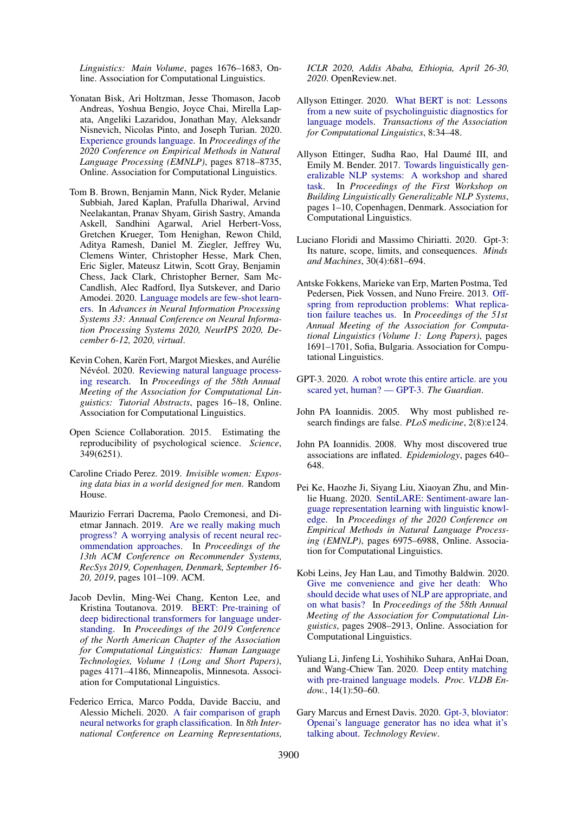*Linguistics: Main Volume*, pages 1676–1683, Online. Association for Computational Linguistics.

- <span id="page-5-17"></span>Yonatan Bisk, Ari Holtzman, Jesse Thomason, Jacob Andreas, Yoshua Bengio, Joyce Chai, Mirella Lapata, Angeliki Lazaridou, Jonathan May, Aleksandr Nisnevich, Nicolas Pinto, and Joseph Turian. 2020. [Experience grounds language.](https://doi.org/10.18653/v1/2020.emnlp-main.703) In *Proceedings of the 2020 Conference on Empirical Methods in Natural Language Processing (EMNLP)*, pages 8718–8735, Online. Association for Computational Linguistics.
- <span id="page-5-13"></span>Tom B. Brown, Benjamin Mann, Nick Ryder, Melanie Subbiah, Jared Kaplan, Prafulla Dhariwal, Arvind Neelakantan, Pranav Shyam, Girish Sastry, Amanda Askell, Sandhini Agarwal, Ariel Herbert-Voss, Gretchen Krueger, Tom Henighan, Rewon Child, Aditya Ramesh, Daniel M. Ziegler, Jeffrey Wu, Clemens Winter, Christopher Hesse, Mark Chen, Eric Sigler, Mateusz Litwin, Scott Gray, Benjamin Chess, Jack Clark, Christopher Berner, Sam Mc-Candlish, Alec Radford, Ilya Sutskever, and Dario Amodei. 2020. [Language models are few-shot learn](https://proceedings.neurips.cc/paper/2020/hash/1457c0d6bfcb4967418bfb8ac142f64a-Abstract.html)[ers.](https://proceedings.neurips.cc/paper/2020/hash/1457c0d6bfcb4967418bfb8ac142f64a-Abstract.html) In *Advances in Neural Information Processing Systems 33: Annual Conference on Neural Information Processing Systems 2020, NeurIPS 2020, December 6-12, 2020, virtual*.
- <span id="page-5-10"></span>Kevin Cohen, Karën Fort, Margot Mieskes, and Aurélie Névéol. 2020. [Reviewing natural language process](https://doi.org/10.18653/v1/2020.acl-tutorials.4)[ing research.](https://doi.org/10.18653/v1/2020.acl-tutorials.4) In *Proceedings of the 58th Annual Meeting of the Association for Computational Linguistics: Tutorial Abstracts*, pages 16–18, Online. Association for Computational Linguistics.
- <span id="page-5-11"></span>Open Science Collaboration. 2015. Estimating the reproducibility of psychological science. *Science*, 349(6251).
- <span id="page-5-2"></span>Caroline Criado Perez. 2019. *Invisible women: Exposing data bias in a world designed for men*. Random House.
- <span id="page-5-6"></span>Maurizio Ferrari Dacrema, Paolo Cremonesi, and Dietmar Jannach. 2019. [Are we really making much](https://doi.org/10.1145/3298689.3347058) [progress? A worrying analysis of recent neural rec](https://doi.org/10.1145/3298689.3347058)[ommendation approaches.](https://doi.org/10.1145/3298689.3347058) In *Proceedings of the 13th ACM Conference on Recommender Systems, RecSys 2019, Copenhagen, Denmark, September 16- 20, 2019*, pages 101–109. ACM.
- <span id="page-5-0"></span>Jacob Devlin, Ming-Wei Chang, Kenton Lee, and Kristina Toutanova. 2019. [BERT: Pre-training of](https://doi.org/10.18653/v1/N19-1423) [deep bidirectional transformers for language under](https://doi.org/10.18653/v1/N19-1423)[standing.](https://doi.org/10.18653/v1/N19-1423) In *Proceedings of the 2019 Conference of the North American Chapter of the Association for Computational Linguistics: Human Language Technologies, Volume 1 (Long and Short Papers)*, pages 4171–4186, Minneapolis, Minnesota. Association for Computational Linguistics.
- <span id="page-5-7"></span>Federico Errica, Marco Podda, Davide Bacciu, and Alessio Micheli. 2020. [A fair comparison of graph](https://openreview.net/forum?id=HygDF6NFPB) [neural networks for graph classification.](https://openreview.net/forum?id=HygDF6NFPB) In *8th International Conference on Learning Representations,*

*ICLR 2020, Addis Ababa, Ethiopia, April 26-30, 2020*. OpenReview.net.

- <span id="page-5-1"></span>Allyson Ettinger. 2020. [What BERT is not: Lessons](https://doi.org/10.1162/tacl_a_00298) [from a new suite of psycholinguistic diagnostics for](https://doi.org/10.1162/tacl_a_00298) [language models.](https://doi.org/10.1162/tacl_a_00298) *Transactions of the Association for Computational Linguistics*, 8:34–48.
- <span id="page-5-5"></span>Allyson Ettinger, Sudha Rao, Hal Daumé III, and Emily M. Bender. 2017. [Towards linguistically gen](https://doi.org/10.18653/v1/W17-5401)[eralizable NLP systems: A workshop and shared](https://doi.org/10.18653/v1/W17-5401) [task.](https://doi.org/10.18653/v1/W17-5401) In *Proceedings of the First Workshop on Building Linguistically Generalizable NLP Systems*, pages 1–10, Copenhagen, Denmark. Association for Computational Linguistics.
- <span id="page-5-16"></span>Luciano Floridi and Massimo Chiriatti. 2020. Gpt-3: Its nature, scope, limits, and consequences. *Minds and Machines*, 30(4):681–694.
- <span id="page-5-12"></span>Antske Fokkens, Marieke van Erp, Marten Postma, Ted Pedersen, Piek Vossen, and Nuno Freire. 2013. [Off](https://www.aclweb.org/anthology/P13-1166)[spring from reproduction problems: What replica](https://www.aclweb.org/anthology/P13-1166)[tion failure teaches us.](https://www.aclweb.org/anthology/P13-1166) In *Proceedings of the 51st Annual Meeting of the Association for Computational Linguistics (Volume 1: Long Papers)*, pages 1691–1701, Sofia, Bulgaria. Association for Computational Linguistics.
- <span id="page-5-14"></span>GPT-3. 2020. [A robot wrote this entire article. are you](https://www.theguardian.com/commentisfree/2020/sep/08/robot-wrote-this-article-gpt-3) [scared yet, human? — GPT-3.](https://www.theguardian.com/commentisfree/2020/sep/08/robot-wrote-this-article-gpt-3) *The Guardian*.
- <span id="page-5-4"></span>John PA Ioannidis. 2005. Why most published research findings are false. *PLoS medicine*, 2(8):e124.
- <span id="page-5-3"></span>John PA Ioannidis. 2008. Why most discovered true associations are inflated. *Epidemiology*, pages 640– 648.
- <span id="page-5-9"></span>Pei Ke, Haozhe Ji, Siyang Liu, Xiaoyan Zhu, and Minlie Huang. 2020. [SentiLARE: Sentiment-aware lan](https://doi.org/10.18653/v1/2020.emnlp-main.567)[guage representation learning with linguistic knowl](https://doi.org/10.18653/v1/2020.emnlp-main.567)[edge.](https://doi.org/10.18653/v1/2020.emnlp-main.567) In *Proceedings of the 2020 Conference on Empirical Methods in Natural Language Processing (EMNLP)*, pages 6975–6988, Online. Association for Computational Linguistics.
- <span id="page-5-18"></span>Kobi Leins, Jey Han Lau, and Timothy Baldwin. 2020. [Give me convenience and give her death: Who](https://doi.org/10.18653/v1/2020.acl-main.261) [should decide what uses of NLP are appropriate, and](https://doi.org/10.18653/v1/2020.acl-main.261) [on what basis?](https://doi.org/10.18653/v1/2020.acl-main.261) In *Proceedings of the 58th Annual Meeting of the Association for Computational Linguistics*, pages 2908–2913, Online. Association for Computational Linguistics.
- <span id="page-5-8"></span>Yuliang Li, Jinfeng Li, Yoshihiko Suhara, AnHai Doan, and Wang-Chiew Tan. 2020. [Deep entity matching](https://doi.org/10.14778/3421424.3421431) [with pre-trained language models.](https://doi.org/10.14778/3421424.3421431) *Proc. VLDB Endow.*, 14(1):50–60.
- <span id="page-5-15"></span>Gary Marcus and Ernest Davis. 2020. [Gpt-3, bloviator:](https://www.technologyreview.com/2020/08/22/1007539/gpt3-openai-language-generator-artificial-intelligence-ai-opinion/) [Openai's language generator has no idea what it's](https://www.technologyreview.com/2020/08/22/1007539/gpt3-openai-language-generator-artificial-intelligence-ai-opinion/) [talking about.](https://www.technologyreview.com/2020/08/22/1007539/gpt3-openai-language-generator-artificial-intelligence-ai-opinion/) *Technology Review*.